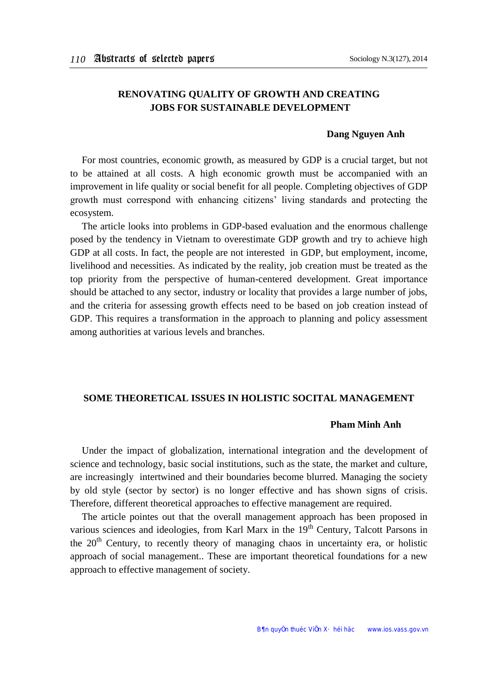# **RENOVATING QUALITY OF GROWTH AND CREATING JOBS FOR SUSTAINABLE DEVELOPMENT**

### **Dang Nguyen Anh**

For most countries, economic growth, as measured by GDP is a crucial target, but not to be attained at all costs. A high economic growth must be accompanied with an improvement in life quality or social benefit for all people. Completing objectives of GDP growth must correspond with enhancing citizens' living standards and protecting the ecosystem.

The article looks into problems in GDP-based evaluation and the enormous challenge posed by the tendency in Vietnam to overestimate GDP growth and try to achieve high GDP at all costs. In fact, the people are not interested in GDP, but employment, income, livelihood and necessities. As indicated by the reality, job creation must be treated as the top priority from the perspective of human-centered development. Great importance should be attached to any sector, industry or locality that provides a large number of jobs, and the criteria for assessing growth effects need to be based on job creation instead of GDP. This requires a transformation in the approach to planning and policy assessment among authorities at various levels and branches.

### **SOME THEORETICAL ISSUES IN HOLISTIC SOCITAL MANAGEMENT**

### **Pham Minh Anh**

Under the impact of globalization, international integration and the development of science and technology, basic social institutions, such as the state, the market and culture, are increasingly intertwined and their boundaries become blurred. Managing the society by old style (sector by sector) is no longer effective and has shown signs of crisis. Therefore, different theoretical approaches to effective management are required.

The article pointes out that the overall management approach has been proposed in various sciences and ideologies, from Karl Marx in the 19<sup>th</sup> Century, Talcott Parsons in the  $20<sup>th</sup>$  Century, to recently theory of managing chaos in uncertainty era, or holistic approach of social management.. These are important theoretical foundations for a new approach to effective management of society.